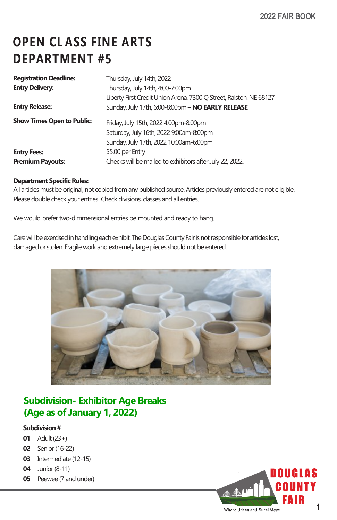# **OPEN CL ASS FINE ARTS DEPARTMENT #5**

| <b>Registration Deadline:</b>     | Thursday, July 14th, 2022                                          |
|-----------------------------------|--------------------------------------------------------------------|
| <b>Entry Delivery:</b>            | Thursday, July 14th, 4:00-7:00pm                                   |
|                                   | Liberty First Credit Union Arena, 7300 Q Street, Ralston, NE 68127 |
| <b>Entry Release:</b>             | Sunday, July 17th, 6:00-8:00pm - NO EARLY RELEASE                  |
| <b>Show Times Open to Public:</b> | Friday, July 15th, 2022 4:00pm-8:00pm                              |
|                                   | Saturday, July 16th, 2022 9:00am-8:00pm                            |
|                                   | Sunday, July 17th, 2022 10:00am-6:00pm                             |
| <b>Entry Fees:</b>                | \$5.00 per Entry                                                   |
| <b>Premium Payouts:</b>           | Checks will be mailed to exhibitors after July 22, 2022.           |
|                                   |                                                                    |

#### **Department Specific Rules:**

All articles must be original, not copied from any published source. Articles previously entered are not eligible. Please double check your entries! Check divisions, classes and all entries.

We would prefer two-dimmensional entries be mounted and ready to hang.

Care will be exercised in handling each exhibit. The Douglas County Fair is not responsible for articles lost, damaged or stolen. Fragile work and extremely large pieces should not be entered.



### **Subdivision- Exhibitor Age Breaks (Age as of January 1, 2022)**

#### **Subdivision #**

- **01** Adult (23+)
- **02** Senior (16-22)
- **03** Intermediate (12-15)
- **04** Junior (8-11)
- **05** Peewee (7 and under)